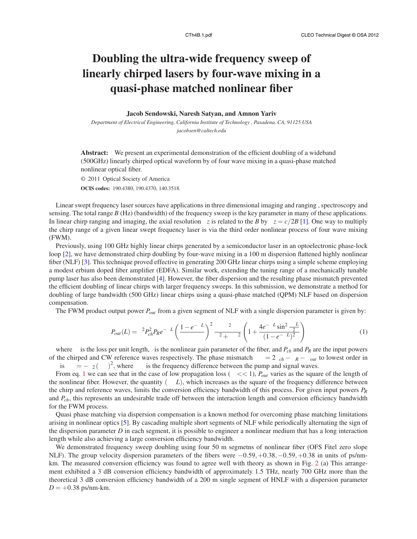## **Doubling the ultra-wide frequency sweep of linearly chirped lasers by four-wave mixing in a quasi-phase matched nonlinear fiber**

## **Jacob Sendowski, Naresh Satyan, and Amnon Yariv**

*Department of Electrical Engineering, California Institute of Technology , Pasadena, CA, 91125 USA jacobsen@caltech.edu*

**Abstract:** We present an experimental demonstration of the efficient doubling of a wideband (500GHz) linearly chirped optical waveform by of four wave mixing in a quasi-phase matched nonlinear optical fiber.

© 2011 Optical Society of America

**OCIS codes:** 190.4380, 190.4370, 140.3518.

Linear swept frequency laser sources have applications in three dimensional imaging and ranging , spectroscopy and sensing. The total range *B* (Hz) (bandwidth) of the frequency sweep is the key parameter in many of these applications. In linear chirp ranging and imaging, the axial resolution  $\delta z$  is related to the *B* by  $\delta z = c/2B$  [1]. One way to multiply the chirp range of a given linear swept frequency laser is via the third order nonlinear process of four wave mixing (FWM).

Previously, using 100 GHz highly linear chirps generated by a semiconductor laser in an optoelectronic phase-lock loop [2], we have demonstrated chirp doubling by four-wave mixing in a 100 m dispersion flattened highly nonlinear fiber (NLF) [3]. This technique proved effective in generating 200 GHz linear chirps using a simple scheme employing a modest erbium doped fiber amplifier (EDFA). Similar work, extending the tuning range of a mechanically tunable pump laser has also been demonstrated [4]. However, the fiber dispersion and the resulting phase mismatch prevented the efficient doubling of linear chirps with larger frequency sweeps. In this submission, we demonstrate a method for doubling of large bandwidth (500 GHz) linear chirps using a quasi-phase matched (QPM) NLF based on dispersion compensation.

The FWM product output power *Pout* from a given segment of NLF with a single dispersion parameter is given by:

$$
P_{out}(L) = \gamma^2 P_{ch}^2 P_R e^{-\alpha L} \left(\frac{1 - e^{-\alpha L}}{\alpha}\right)^2 \frac{\alpha^2}{\alpha^2 + \Delta \beta^2} \left(1 + \frac{4e^{-\alpha L} \sin^2 \frac{\Delta \beta L}{2}}{(1 - e^{-\alpha L})^2}\right)
$$
(1)

where  $\alpha$  is the loss per unit length,  $\gamma$  is the nonlinear gain parameter of the fiber, and  $P_{ch}$  and  $P_R$  are the input powers of the chirped and CW reference waves respectively. The phase mismatch  $\Delta \beta = 2\beta_{ch} - \beta_R - \beta_{out}$  to lowest order in  $\Delta\omega$  is  $\Delta\beta = -\beta_2 (\Delta\omega)^2$ , where  $\Delta\omega$  is the frequency difference between the pump and signal waves.

From eq. 1 we can see that in the case of low propagation loss ( $\alpha \ll 1$ ),  $P_{out}$  varies as the square of the length of the nonlinear fiber. However, the quantity  $(\Delta \beta L)$ , which increases as the square of the frequency difference between the chirp and reference waves, limits the conversion efficiency bandwidth of this process. For given input powers *P<sup>R</sup>* and *Pch*, this represents an undesirable trade off between the interaction length and conversion efficiency bandwidth for the FWM process.

Quasi phase matching via dispersion compensation is a known method for overcoming phase matching limitations arising in nonlinear optics [5]. By cascading multiple short segments of NLF while periodically alternating the sign of the dispersion parameter *D* in each segment, it is possible to engineer a nonlinear medium that has a long interaction length while also achieving a large conversion efficiency bandwidth.

We demonstrated frequency sweep doubling using four 50 m segmetns of nonlinear fiber (OFS Fitel zero slope) NLF). The group velocity dispersion parameters of the fibers were  $-0.59, +0.38, -0.59, +0.38$  in units of ps/nmkm. The measured conversion efficiency was found to agree well with theory as shown in Fig. 2 (a) This arrangement exhibited a 3 dB conversion efficiency bandwidth of approximately 1.5 THz, nearly 700 GHz more than the theoretical 3 dB conversion efficiency bandwidth of a 200 m single segment of HNLF with a dispersion parameter  $D = +0.38$  ps/nm-km.